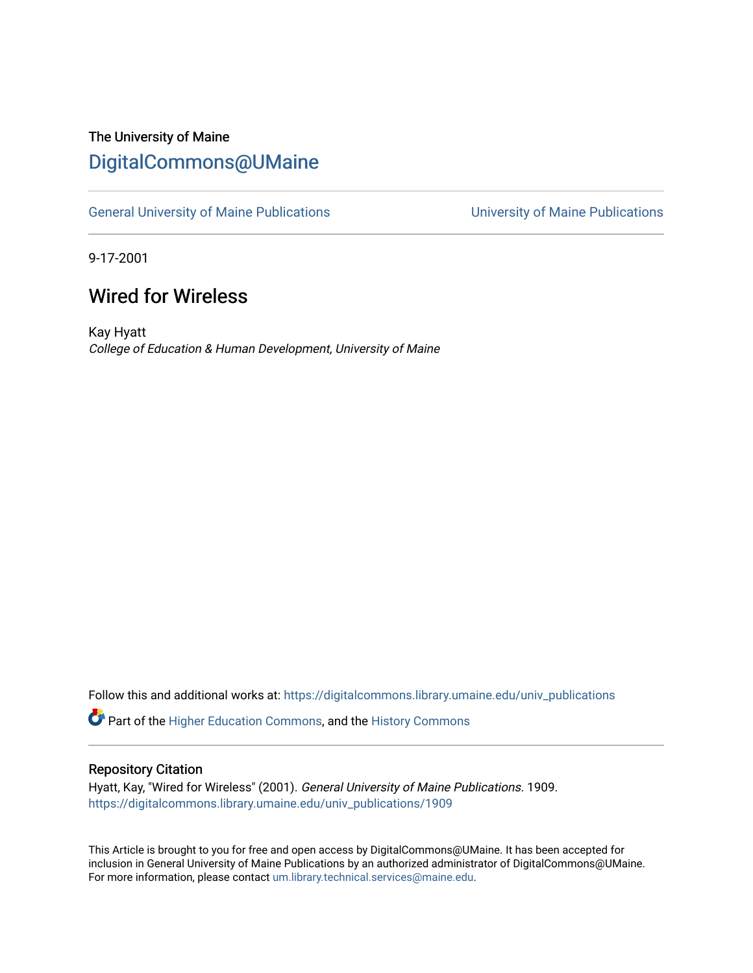## The University of Maine [DigitalCommons@UMaine](https://digitalcommons.library.umaine.edu/)

[General University of Maine Publications](https://digitalcommons.library.umaine.edu/univ_publications) [University of Maine Publications](https://digitalcommons.library.umaine.edu/umaine_publications) 

9-17-2001

## Wired for Wireless

Kay Hyatt College of Education & Human Development, University of Maine

Follow this and additional works at: [https://digitalcommons.library.umaine.edu/univ\\_publications](https://digitalcommons.library.umaine.edu/univ_publications?utm_source=digitalcommons.library.umaine.edu%2Funiv_publications%2F1909&utm_medium=PDF&utm_campaign=PDFCoverPages) 

Part of the [Higher Education Commons,](http://network.bepress.com/hgg/discipline/1245?utm_source=digitalcommons.library.umaine.edu%2Funiv_publications%2F1909&utm_medium=PDF&utm_campaign=PDFCoverPages) and the [History Commons](http://network.bepress.com/hgg/discipline/489?utm_source=digitalcommons.library.umaine.edu%2Funiv_publications%2F1909&utm_medium=PDF&utm_campaign=PDFCoverPages)

#### Repository Citation

Hyatt, Kay, "Wired for Wireless" (2001). General University of Maine Publications. 1909. [https://digitalcommons.library.umaine.edu/univ\\_publications/1909](https://digitalcommons.library.umaine.edu/univ_publications/1909?utm_source=digitalcommons.library.umaine.edu%2Funiv_publications%2F1909&utm_medium=PDF&utm_campaign=PDFCoverPages)

This Article is brought to you for free and open access by DigitalCommons@UMaine. It has been accepted for inclusion in General University of Maine Publications by an authorized administrator of DigitalCommons@UMaine. For more information, please contact [um.library.technical.services@maine.edu](mailto:um.library.technical.services@maine.edu).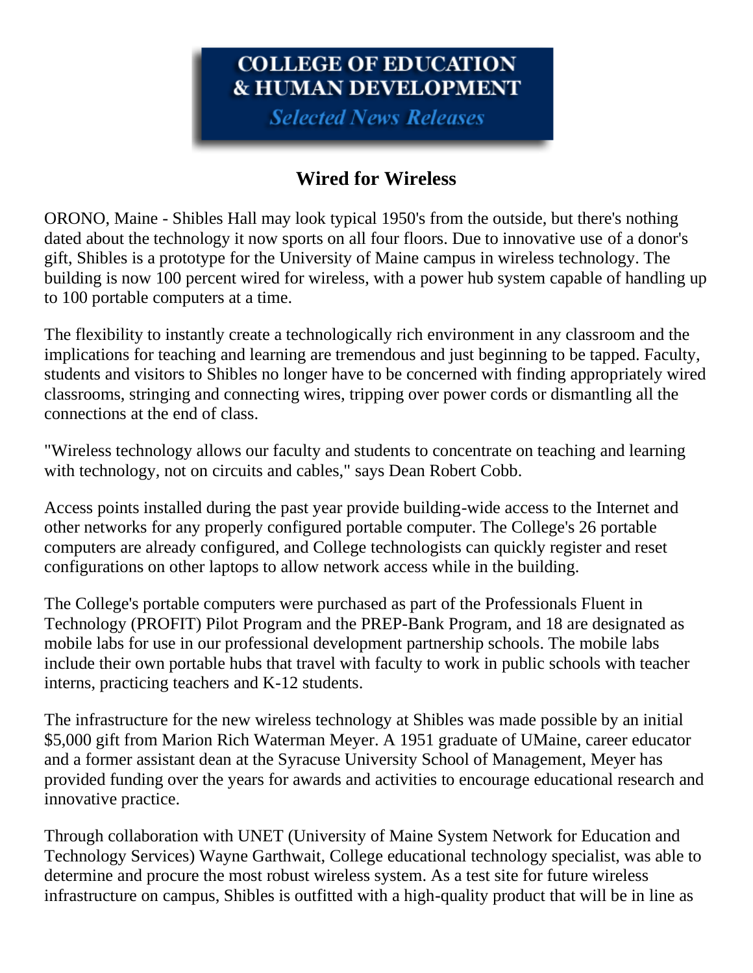# COLLEGE OF EDUCATION **& HUMAN DEVELOPMENT**

**Selected News Releases** 

## **Wired for Wireless**

ORONO, Maine - Shibles Hall may look typical 1950's from the outside, but there's nothing dated about the technology it now sports on all four floors. Due to innovative use of a donor's gift, Shibles is a prototype for the University of Maine campus in wireless technology. The building is now 100 percent wired for wireless, with a power hub system capable of handling up to 100 portable computers at a time.

The flexibility to instantly create a technologically rich environment in any classroom and the implications for teaching and learning are tremendous and just beginning to be tapped. Faculty, students and visitors to Shibles no longer have to be concerned with finding appropriately wired classrooms, stringing and connecting wires, tripping over power cords or dismantling all the connections at the end of class.

"Wireless technology allows our faculty and students to concentrate on teaching and learning with technology, not on circuits and cables," says Dean Robert Cobb.

Access points installed during the past year provide building-wide access to the Internet and other networks for any properly configured portable computer. The College's 26 portable computers are already configured, and College technologists can quickly register and reset configurations on other laptops to allow network access while in the building.

The College's portable computers were purchased as part of the Professionals Fluent in Technology (PROFIT) Pilot Program and the PREP-Bank Program, and 18 are designated as mobile labs for use in our professional development partnership schools. The mobile labs include their own portable hubs that travel with faculty to work in public schools with teacher interns, practicing teachers and K-12 students.

The infrastructure for the new wireless technology at Shibles was made possible by an initial \$5,000 gift from Marion Rich Waterman Meyer. A 1951 graduate of UMaine, career educator and a former assistant dean at the Syracuse University School of Management, Meyer has provided funding over the years for awards and activities to encourage educational research and innovative practice.

Through collaboration with UNET (University of Maine System Network for Education and Technology Services) Wayne Garthwait, College educational technology specialist, was able to determine and procure the most robust wireless system. As a test site for future wireless infrastructure on campus, Shibles is outfitted with a high-quality product that will be in line as